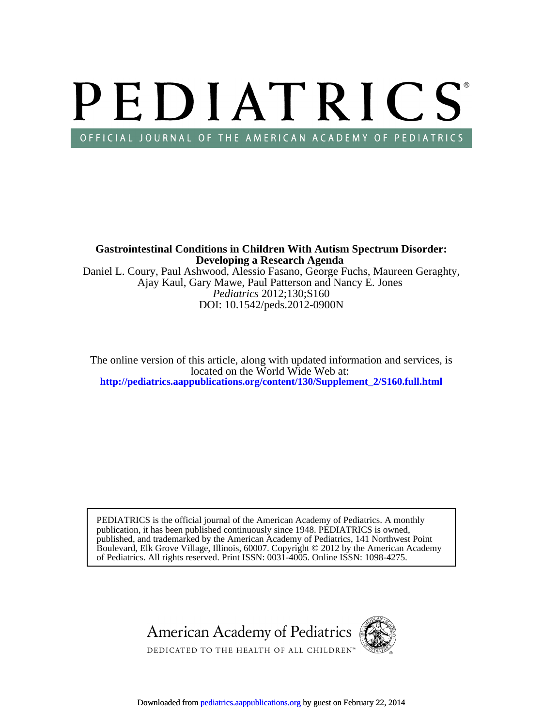# PEDIATRICS OFFICIAL JOURNAL OF THE AMERICAN ACADEMY OF PEDIATRICS

**Developing a Research Agenda Gastrointestinal Conditions in Children With Autism Spectrum Disorder:**

DOI: 10.1542/peds.2012-0900N *Pediatrics* 2012;130;S160 Ajay Kaul, Gary Mawe, Paul Patterson and Nancy E. Jones Daniel L. Coury, Paul Ashwood, Alessio Fasano, George Fuchs, Maureen Geraghty,

**[http://pediatrics.aappublications.org/content/130/Supplement\\_2/S160.full.html](http://pediatrics.aappublications.org/content/130/Supplement_2/S160.full.html)** located on the World Wide Web at: The online version of this article, along with updated information and services, is

of Pediatrics. All rights reserved. Print ISSN: 0031-4005. Online ISSN: 1098-4275. Boulevard, Elk Grove Village, Illinois, 60007. Copyright © 2012 by the American Academy published, and trademarked by the American Academy of Pediatrics, 141 Northwest Point publication, it has been published continuously since 1948. PEDIATRICS is owned, PEDIATRICS is the official journal of the American Academy of Pediatrics. A monthly

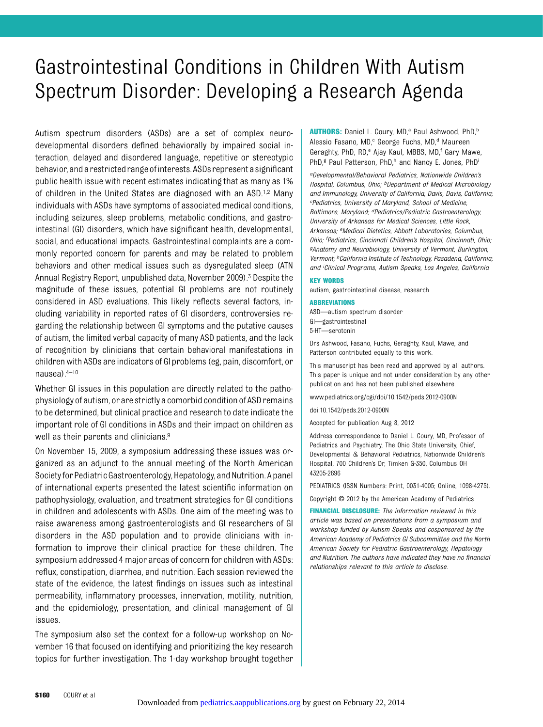# Gastrointestinal Conditions in Children With Autism Spectrum Disorder: Developing a Research Agenda

Autism spectrum disorders (ASDs) are a set of complex neurodevelopmental disorders defined behaviorally by impaired social interaction, delayed and disordered language, repetitive or stereotypic behavior,anda restricted rangeofinterests. ASDs represent a significant public health issue with recent estimates indicating that as many as 1% of children in the United States are diagnosed with an ASD.1,2 Many individuals with ASDs have symptoms of associated medical conditions, including seizures, sleep problems, metabolic conditions, and gastrointestinal (GI) disorders, which have significant health, developmental, social, and educational impacts. Gastrointestinal complaints are a commonly reported concern for parents and may be related to problem behaviors and other medical issues such as dysregulated sleep (ATN Annual Registry Report, unpublished data, November 2009).3 Despite the magnitude of these issues, potential GI problems are not routinely considered in ASD evaluations. This likely reflects several factors, including variability in reported rates of GI disorders, controversies regarding the relationship between GI symptoms and the putative causes of autism, the limited verbal capacity of many ASD patients, and the lack of recognition by clinicians that certain behavioral manifestations in children with ASDs are indicators of GI problems (eg, pain, discomfort, or nausea).4–<sup>10</sup>

Whether GI issues in this population are directly related to the pathophysiology of autism, orare strictly a comorbid condition of ASD remains to be determined, but clinical practice and research to date indicate the important role of GI conditions in ASDs and their impact on children as well as their parents and clinicians.<sup>9</sup>

On November 15, 2009, a symposium addressing these issues was organized as an adjunct to the annual meeting of the North American Society for Pediatric Gastroenterology, Hepatology, and Nutrition. A panel of international experts presented the latest scientific information on pathophysiology, evaluation, and treatment strategies for GI conditions in children and adolescents with ASDs. One aim of the meeting was to raise awareness among gastroenterologists and GI researchers of GI disorders in the ASD population and to provide clinicians with information to improve their clinical practice for these children. The symposium addressed 4 major areas of concern for children with ASDs: reflux, constipation, diarrhea, and nutrition. Each session reviewed the state of the evidence, the latest findings on issues such as intestinal permeability, inflammatory processes, innervation, motility, nutrition, and the epidemiology, presentation, and clinical management of GI issues.

The symposium also set the context for a follow-up workshop on November 16 that focused on identifying and prioritizing the key research topics for further investigation. The 1-day workshop brought together AUTHORS: Daniel L. Coury, MD,<sup>a</sup> Paul Ashwood, PhD,<sup>b</sup> Alessio Fasano, MD,<sup>c</sup> George Fuchs, MD,<sup>d</sup> Maureen Geraghty, PhD, RD,<sup>e</sup> Ajay Kaul, MBBS, MD,<sup>f</sup> Gary Mawe, PhD,<sup>g</sup> Paul Patterson, PhD,<sup>h</sup> and Nancy E. Jones, PhD<sup>i</sup>

aDevelopmental/Behavioral Pediatrics, Nationwide Children's Hospital, Columbus, Ohio; <sup>b</sup>Department of Medical Microbiology and Immunology, University of California, Davis, Davis, California; cPediatrics, University of Maryland, School of Medicine, Baltimore, Maryland; dPediatrics/Pediatric Gastroenterology, University of Arkansas for Medical Sciences, Little Rock, Arkansas; eMedical Dietetics, Abbott Laboratories, Columbus, Ohio; f Pediatrics, Cincinnati Children's Hospital, Cincinnati, Ohio; gAnatomy and Neurobiology, University of Vermont, Burlington, Vermont; <sup>h</sup>California Institute of Technology, Pasadena, California; and <sup>i</sup> Clinical Programs, Autism Speaks, Los Angeles, California

#### KEY WORDS

autism, gastrointestinal disease, research

#### **ABBREVIATIONS**

ASD—autism spectrum disorder GI—gastrointestinal 5-HT—serotonin

Drs Ashwood, Fasano, Fuchs, Geraghty, Kaul, Mawe, and Patterson contributed equally to this work.

This manuscript has been read and approved by all authors. This paper is unique and not under consideration by any other publication and has not been published elsewhere.

www.pediatrics.org/cgi/doi/10.1542/peds.2012-0900N

doi:10.1542/peds.2012-0900N

Accepted for publication Aug 8, 2012

Address correspondence to Daniel L. Coury, MD, Professor of Pediatrics and Psychiatry, The Ohio State University, Chief, Developmental & Behavioral Pediatrics, Nationwide Children's Hospital, 700 Children's Dr, Timken G-350, Columbus OH 43205-2696

PEDIATRICS (ISSN Numbers: Print, 0031-4005; Online, 1098-4275).

Copyright © 2012 by the American Academy of Pediatrics

FINANCIAL DISCLOSURE: The information reviewed in this article was based on presentations from a symposium and workshop funded by Autism Speaks and cosponsored by the American Academy of Pediatrics GI Subcommittee and the North American Society for Pediatric Gastroenterology, Hepatology and Nutrition. The authors have indicated they have no financial relationships relevant to this article to disclose.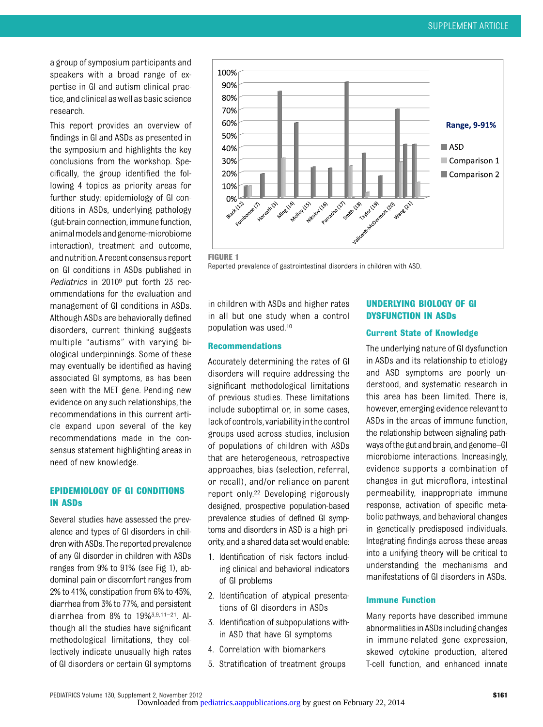a group of symposium participants and speakers with a broad range of expertise in GI and autism clinical practice, and clinical aswell asbasic science research.

This report provides an overview of findings in GI and ASDs as presented in the symposium and highlights the key conclusions from the workshop. Specifically, the group identified the following 4 topics as priority areas for further study: epidemiology of GI conditions in ASDs, underlying pathology (gut-brain connection, immune function, animalmodelsandgenome-microbiome interaction), treatment and outcome, and nutrition. A recent consensus report on GI conditions in ASDs published in Pediatrics in 2010<sup>9</sup> put forth 23 recommendations for the evaluation and management of GI conditions in ASDs. Although ASDs are behaviorally defined disorders, current thinking suggests multiple "autisms" with varying biological underpinnings. Some of these may eventually be identified as having associated GI symptoms, as has been seen with the MET gene. Pending new evidence on any such relationships, the recommendations in this current article expand upon several of the key recommendations made in the consensus statement highlighting areas in need of new knowledge.

# EPIDEMIOLOGY OF GI CONDITIONS IN ASDs

Several studies have assessed the prevalence and types of GI disorders in children with ASDs. The reported prevalence of any GI disorder in children with ASDs ranges from 9% to 91% (see Fig 1), abdominal pain or discomfort ranges from 2% to 41%, constipation from 6% to 45%, diarrhea from 3% to 77%, and persistent diarrhea from 8% to 19%3,9,11–21. Although all the studies have significant methodological limitations, they collectively indicate unusually high rates of GI disorders or certain GI symptoms



Reported prevalence of gastrointestinal disorders in children with ASD.

in children with ASDs and higher rates in all but one study when a control population was used.10

#### Recommendations

Accurately determining the rates of GI disorders will require addressing the significant methodological limitations of previous studies. These limitations include suboptimal or, in some cases, lackof controls, variability inthe control groups used across studies, inclusion of populations of children with ASDs that are heterogeneous, retrospective approaches, bias (selection, referral, or recall), and/or reliance on parent report only.22 Developing rigorously designed, prospective population-based prevalence studies of defined GI symptoms and disorders in ASD is a high priority, and a shared data set would enable:

- 1. Identification of risk factors including clinical and behavioral indicators of GI problems
- 2. Identification of atypical presentations of GI disorders in ASDs
- 3. Identification of subpopulations within ASD that have GI symptoms
- 4. Correlation with biomarkers
- 5. Stratificatio[n of treatment groups](http://pediatrics.aappublications.org/)

# UNDERLYING BIOLOGY OF GI DYSFUNCTION IN ASDs

### Current State of Knowledge

The underlying nature of GI dysfunction in ASDs and its relationship to etiology and ASD symptoms are poorly understood, and systematic research in this area has been limited. There is, however, emerging evidence relevantto ASDs in the areas of immune function, the relationship between signaling pathways ofthe gut and brain, and genome–GI microbiome interactions. Increasingly, evidence supports a combination of changes in gut microflora, intestinal permeability, inappropriate immune response, activation of specific metabolic pathways, and behavioral changes in genetically predisposed individuals. Integrating findings across these areas into a unifying theory will be critical to understanding the mechanisms and manifestations of GI disorders in ASDs.

### Immune Function

Many reports have described immune abnormalities inASDsincluding changes in immune-related gene expression, skewed cytokine production, altered T-cell function, and enhanced innate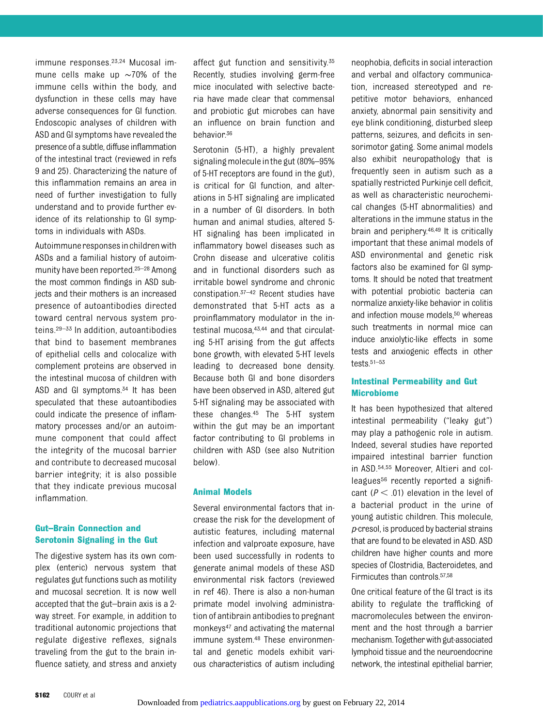immune responses.23,24 Mucosal immune cells make up ∼70% of the immune cells within the body, and dysfunction in these cells may have adverse consequences for GI function. Endoscopic analyses of children with ASD and GI symptoms have revealed the presence of a subtle, diffuse inflammation of the intestinal tract (reviewed in refs 9 and 25). Characterizing the nature of this inflammation remains an area in need of further investigation to fully understand and to provide further evidence of its relationship to GI symptoms in individuals with ASDs.

Autoimmune responses in children with ASDs and a familial history of autoimmunity have been reported.25–<sup>28</sup> Among the most common findings in ASD subjects and their mothers is an increased presence of autoantibodies directed toward central nervous system proteins.29–<sup>33</sup> In addition, autoantibodies that bind to basement membranes of epithelial cells and colocalize with complement proteins are observed in the intestinal mucosa of children with ASD and GI symptoms.<sup>34</sup> It has been speculated that these autoantibodies could indicate the presence of inflammatory processes and/or an autoimmune component that could affect the integrity of the mucosal barrier and contribute to decreased mucosal barrier integrity; it is also possible that they indicate previous mucosal inflammation.

# Gut–Brain Connection and Serotonin Signaling in the Gut

The digestive system has its own complex (enteric) nervous system that regulates gut functions such as motility and mucosal secretion. It is now well accepted that the gut–brain axis is a 2 way street. For example, in addition to traditional autonomic projections that regulate digestive reflexes, signals traveling from the gut to the brain influence satiety, and stress and anxiety affect gut function and sensitivity.35 Recently, studies involving germ-free mice inoculated with selective bacteria have made clear that commensal and probiotic gut microbes can have an influence on brain function and behavior.36

Serotonin (5-HT), a highly prevalent signaling molecule inthe gut (80%–95% of 5-HT receptors are found in the gut), is critical for GI function, and alterations in 5-HT signaling are implicated in a number of GI disorders. In both human and animal studies, altered 5- HT signaling has been implicated in inflammatory bowel diseases such as Crohn disease and ulcerative colitis and in functional disorders such as irritable bowel syndrome and chronic constipation.37–<sup>42</sup> Recent studies have demonstrated that 5-HT acts as a proinflammatory modulator in the intestinal mucosa,43,44 and that circulating 5-HT arising from the gut affects bone growth, with elevated 5-HT levels leading to decreased bone density. Because both GI and bone disorders have been observed in ASD, altered gut 5-HT signaling may be associated with these changes.45 The 5-HT system within the gut may be an important factor contributing to GI problems in children with ASD (see also Nutrition below).

#### Animal Models

Several environmental factors that increase the risk for the development of autistic features, including maternal infection and valproate exposure, have been used successfully in rodents to generate animal models of these ASD environmental risk factors (reviewed in ref 46). There is also a non-human primate model involving administration of antibrain antibodies to pregnant monkeys47 and activating the maternal immune system.48 These environmental and genetic models exhibit various characteristics [of autism including](http://pediatrics.aappublications.org/)

neophobia, deficits in social interaction and verbal and olfactory communication, increased stereotyped and repetitive motor behaviors, enhanced anxiety, abnormal pain sensitivity and eye blink conditioning, disturbed sleep patterns, seizures, and deficits in sensorimotor gating. Some animal models also exhibit neuropathology that is frequently seen in autism such as a spatially restricted Purkinje cell deficit, as well as characteristic neurochemical changes (5-HT abnormalities) and alterations in the immune status in the brain and periphery.46,49 It is critically important that these animal models of ASD environmental and genetic risk factors also be examined for GI symptoms. It should be noted that treatment with potential probiotic bacteria can normalize anxiety-like behavior in colitis and infection mouse models,<sup>50</sup> whereas such treatments in normal mice can induce anxiolytic-like effects in some tests and anxiogenic effects in other tests.51–<sup>53</sup>

# Intestinal Permeability and Gut Microbiome

It has been hypothesized that altered intestinal permeability ("leaky gut") may play a pathogenic role in autism. Indeed, several studies have reported impaired intestinal barrier function in ASD.54,55 Moreover, Altieri and colleagues<sup>56</sup> recently reported a significant ( $P < .01$ ) elevation in the level of a bacterial product in the urine of young autistic children. This molecule, p-cresol, is produced by bacterial strains that are found to be elevated in ASD. ASD children have higher counts and more species of Clostridia, Bacteroidetes, and Firmicutes than controls.57,58

One critical feature of the GI tract is its ability to regulate the trafficking of macromolecules between the environment and the host through a barrier mechanism. Together with gut-associated lymphoid tissue and the neuroendocrine network, the intestinal epithelial barrier,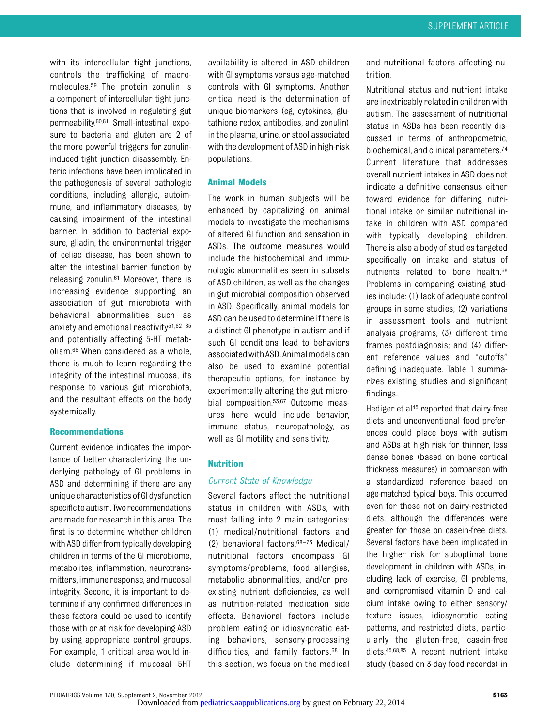with its intercellular tight junctions, controls the trafficking of macromolecules.59 The protein zonulin is a component of intercellular tight junctions that is involved in regulating gut permeability.60,61 Small-intestinal exposure to bacteria and gluten are 2 of the more powerful triggers for zonulininduced tight junction disassembly. Enteric infections have been implicated in the pathogenesis of several pathologic conditions, including allergic, autoimmune, and inflammatory diseases, by causing impairment of the intestinal barrier. In addition to bacterial exposure, gliadin, the environmental trigger of celiac disease, has been shown to alter the intestinal barrier function by releasing zonulin.61 Moreover, there is increasing evidence supporting an association of gut microbiota with behavioral abnormalities such as anxiety and emotional reactivity<sup>51,62-65</sup> and potentially affecting 5-HT metabolism.66 When considered as a whole, there is much to learn regarding the integrity of the intestinal mucosa, its response to various gut microbiota, and the resultant effects on the body systemically.

#### Recommendations

Current evidence indicates the importance of better characterizing the underlying pathology of GI problems in ASD and determining if there are any unique characteristics of GI dysfunction specific to autism. Two recommendations are made for research in this area. The first is to determine whether children with ASD differ from typically developing children in terms of the GI microbiome, metabolites, inflammation, neurotransmitters, immune response, and mucosal integrity. Second, it is important to determine if any confirmed differences in these factors could be used to identify those with or at risk for developing ASD by using appropriate control groups. For example, 1 critical area would include determining if mucosal 5HT availability is altered in ASD children with GI symptoms versus age-matched controls with GI symptoms. Another critical need is the determination of unique biomarkers (eg, cytokines, glutathione redox, antibodies, and zonulin) in the plasma, urine, or stool associated with the development of ASD in high-risk populations.

# Animal Models

The work in human subjects will be enhanced by capitalizing on animal models to investigate the mechanisms of altered GI function and sensation in ASDs. The outcome measures would include the histochemical and immunologic abnormalities seen in subsets of ASD children, as well as the changes in gut microbial composition observed in ASD. Specifically, animal models for ASD can be used to determine if there is a distinct GI phenotype in autism and if such GI conditions lead to behaviors associatedwith ASD.Animalmodels can also be used to examine potential therapeutic options, for instance by experimentally altering the gut microbial composition.53,67 Outcome measures here would include behavior, immune status, neuropathology, as well as GI motility and sensitivity.

#### **Nutrition**

# Current State of Knowledge

Several factors affect the nutritional status in children with ASDs, with most falling into 2 main categories: (1) medical/nutritional factors and (2) behavioral factors.68–<sup>73</sup> Medical/ nutritional factors encompass GI symptoms/problems, food allergies, metabolic abnormalities, and/or preexisting nutrient deficiencies, as well as nutrition-related medication side effects. Behavioral factors include problem eating or idiosyncratic eating behaviors, sensory-processing difficulties, and family factors.68 In this section, w[e focus on the medical](http://pediatrics.aappublications.org/)

and nutritional factors affecting nutrition.

Nutritional status and nutrient intake are inextricably related in children with autism. The assessment of nutritional status in ASDs has been recently discussed in terms of anthropometric, biochemical, and clinical parameters.74 Current literature that addresses overall nutrient intakes in ASD does not indicate a definitive consensus either toward evidence for differing nutritional intake or similar nutritional intake in children with ASD compared with typically developing children. There is also a body of studies targeted specifically on intake and status of nutrients related to bone health.<sup>68</sup> Problems in comparing existing studies include: (1) lack of adequate control groups in some studies; (2) variations in assessment tools and nutrient analysis programs; (3) different time frames postdiagnosis; and (4) different reference values and "cutoffs" defining inadequate. Table 1 summarizes existing studies and significant findings.

Hediger et al45 reported that dairy-free diets and unconventional food preferences could place boys with autism and ASDs at high risk for thinner, less dense bones (based on bone cortical thickness measures) in comparison with a standardized reference based on age-matched typical boys. This occurred even for those not on dairy-restricted diets, although the differences were greater for those on casein-free diets. Several factors have been implicated in the higher risk for suboptimal bone development in children with ASDs, including lack of exercise, GI problems, and compromised vitamin D and calcium intake owing to either sensory/ texture issues, idiosyncratic eating patterns, and restricted diets, particularly the gluten-free, casein-free diets.45,68,85 A recent nutrient intake study (based on 3-day food records) in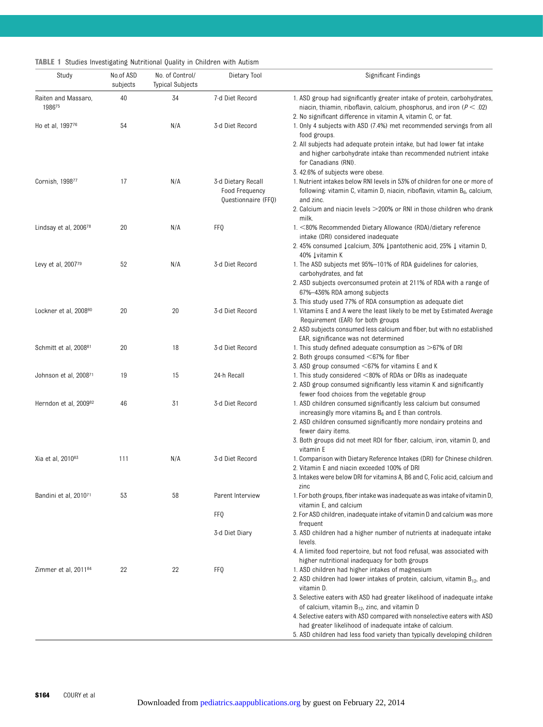|  |  |  | <b>TABLE 1</b> Studies Investigating Nutritional Quality in Children with Autism |  |  |  |  |  |  |
|--|--|--|----------------------------------------------------------------------------------|--|--|--|--|--|--|
|--|--|--|----------------------------------------------------------------------------------|--|--|--|--|--|--|

| Study                             | No.of ASD<br>subjects | No. of Control/<br><b>Typical Subjects</b> | Dietary Tool                                                | Significant Findings                                                                                                                                                                                                                                                |  |  |
|-----------------------------------|-----------------------|--------------------------------------------|-------------------------------------------------------------|---------------------------------------------------------------------------------------------------------------------------------------------------------------------------------------------------------------------------------------------------------------------|--|--|
| Raiten and Massaro,<br>198675     | 40                    | 34                                         | 7-d Diet Record                                             | 1. ASD group had significantly greater intake of protein, carbohydrates,<br>niacin, thiamin, riboflavin, calcium, phosphorus, and iron ( $P < .02$ )                                                                                                                |  |  |
| Ho et al, 199776                  | 54                    | N/A                                        | 3-d Diet Record                                             | 2. No significant difference in vitamin A, vitamin C, or fat.<br>1. Only 4 subjects with ASD (7.4%) met recommended servings from all<br>food groups.                                                                                                               |  |  |
|                                   |                       |                                            |                                                             | 2. All subjects had adequate protein intake, but had lower fat intake<br>and higher carbohydrate intake than recommended nutrient intake<br>for Canadians (RNI).<br>3.42.6% of subjects were obese.                                                                 |  |  |
| Cornish, 199877                   | 17                    | N/A                                        | 3-d Dietary Recall<br>Food Frequency<br>Questionnaire (FFQ) | 1. Nutrient intakes below RNI levels in 53% of children for one or more of<br>following: vitamin C, vitamin D, niacin, riboflavin, vitamin B <sub>6</sub> , calcium,<br>and zinc.<br>2. Calcium and niacin levels >200% or RNI in those children who drank<br>milk. |  |  |
| Lindsay et al, 2006 <sup>78</sup> | 20                    | N/A                                        | FFQ                                                         | 1. <80% Recommended Dietary Allowance (RDA)/dietary reference<br>intake (DRI) considered inadequate<br>2.45% consumed ↓ calcium, 30% ↓ pantothenic acid, 25% ↓ vitamin D,                                                                                           |  |  |
| Levy et al, 200779                | 52                    | N/A                                        | 3-d Diet Record                                             | 40% ↓vitamin K<br>1. The ASD subjects met 95%–101% of RDA guidelines for calories,<br>carbohydrates, and fat                                                                                                                                                        |  |  |
|                                   |                       |                                            |                                                             | 2. ASD subjects overconsumed protein at 211% of RDA with a range of<br>67%-436% RDA among subjects<br>3. This study used 77% of RDA consumption as adequate diet                                                                                                    |  |  |
| Lockner et al, 2008 <sup>80</sup> | 20                    | 20                                         | 3-d Diet Record                                             | 1. Vitamins E and A were the least likely to be met by Estimated Average<br>Requirement (EAR) for both groups<br>2. ASD subjects consumed less calcium and fiber, but with no established                                                                           |  |  |
| Schmitt et al, 2008 <sup>81</sup> | 20                    | 18                                         | 3-d Diet Record                                             | EAR, significance was not determined<br>1. This study defined adequate consumption as $>67\%$ of DRI<br>2. Both groups consumed $\leq$ 67% for fiber                                                                                                                |  |  |
| Johnson et al, 2008 <sup>71</sup> | 19                    | 15                                         | 24-h Recall                                                 | 3. ASD group consumed $\leq$ 67% for vitamins E and K<br>1. This study considered $\leq$ 80% of RDAs or DRIs as inadequate<br>2. ASD group consumed significantly less vitamin K and significantly                                                                  |  |  |
| Herndon et al, 2009 <sup>82</sup> | 46                    | 31                                         | 3-d Diet Record                                             | fewer food choices from the vegetable group<br>1. ASD children consumed significantly less calcium but consumed<br>increasingly more vitamins $B_6$ and E than controls.<br>2. ASD children consumed significantly more nondairy proteins and<br>fewer dairy items. |  |  |
|                                   |                       |                                            |                                                             | 3. Both groups did not meet RDI for fiber, calcium, iron, vitamin D, and<br>vitamin E                                                                                                                                                                               |  |  |
| Xia et al, 2010 <sup>83</sup>     | 111                   | N/A                                        | 3-d Diet Record                                             | 1. Comparison with Dietary Reference Intakes (DRI) for Chinese children.<br>2. Vitamin E and niacin exceeded 100% of DRI<br>3. Intakes were below DRI for vitamins A, B6 and C, Folic acid, calcium and                                                             |  |  |
| Bandini et al, 2010 <sup>71</sup> | 53                    | 58                                         | Parent Interview                                            | zinc<br>1. For both groups, fiber intake was inadequate as was intake of vitamin D,<br>vitamin E, and calcium                                                                                                                                                       |  |  |
|                                   |                       |                                            | FFQ                                                         | 2. For ASD children, inadequate intake of vitamin D and calcium was more<br>frequent                                                                                                                                                                                |  |  |
|                                   |                       |                                            | 3-d Diet Diary                                              | 3. ASD children had a higher number of nutrients at inadequate intake<br>levels.<br>4. A limited food repertoire, but not food refusal, was associated with                                                                                                         |  |  |
| Zimmer et al, 2011 <sup>84</sup>  | 22                    | 22                                         | FFQ                                                         | higher nutritional inadequacy for both groups<br>1. ASD children had higher intakes of magnesium                                                                                                                                                                    |  |  |
|                                   |                       |                                            |                                                             | 2. ASD children had lower intakes of protein, calcium, vitamin $B_{12}$ , and<br>vitamin D.                                                                                                                                                                         |  |  |
|                                   |                       |                                            |                                                             | 3. Selective eaters with ASD had greater likelihood of inadequate intake<br>of calcium, vitamin $B_{12}$ , zinc, and vitamin D                                                                                                                                      |  |  |
|                                   |                       |                                            |                                                             | 4. Selective eaters with ASD compared with nonselective eaters with ASD<br>had greater likelihood of inadequate intake of calcium.<br>5. ASD children had less food variety than typically developing children                                                      |  |  |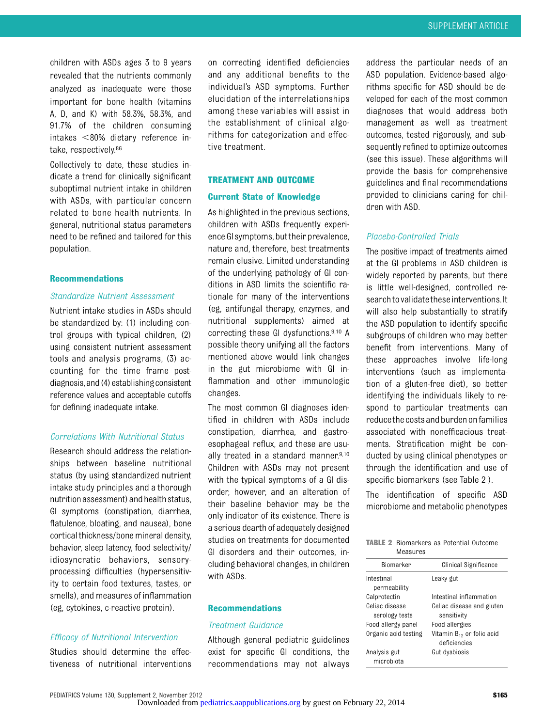children with ASDs ages 3 to 9 years revealed that the nutrients commonly analyzed as inadequate were those important for bone health (vitamins A, D, and K) with 58.3%, 58.3%, and 91.7% of the children consuming  $intakes < 80\%$  dietary reference intake, respectively.86

Collectively to date, these studies indicate a trend for clinically significant suboptimal nutrient intake in children with ASDs, with particular concern related to bone health nutrients. In general, nutritional status parameters need to be refined and tailored for this population.

### Recommendations

#### Standardize Nutrient Assessment

Nutrient intake studies in ASDs should be standardized by: (1) including control groups with typical children, (2) using consistent nutrient assessment tools and analysis programs, (3) accounting for the time frame postdiagnosis, and (4) establishing consistent reference values and acceptable cutoffs for defining inadequate intake.

#### Correlations With Nutritional Status

Research should address the relationships between baseline nutritional status (by using standardized nutrient intake study principles and a thorough nutrition assessment) and health status, GI symptoms (constipation, diarrhea, flatulence, bloating, and nausea), bone cortical thickness/bone mineral density, behavior, sleep latency, food selectivity/ idiosyncratic behaviors, sensoryprocessing difficulties (hypersensitivity to certain food textures, tastes, or smells), and measures of inflammation (eg, cytokines, c-reactive protein).

#### Efficacy of Nutritional Intervention

Studies should determine the effectiveness of nutritional interventions

on correcting identified deficiencies and any additional benefits to the individual's ASD symptoms. Further elucidation of the interrelationships among these variables will assist in the establishment of clinical algorithms for categorization and effective treatment.

#### TREATMENT AND OUTCOME

# Current State of Knowledge

As highlighted in the previous sections, children with ASDs frequently experience GI symptoms, buttheir prevalence, nature and, therefore, best treatments remain elusive. Limited understanding of the underlying pathology of GI conditions in ASD limits the scientific rationale for many of the interventions (eg, antifungal therapy, enzymes, and nutritional supplements) aimed at correcting these GI dysfunctions.9,10 A possible theory unifying all the factors mentioned above would link changes in the gut microbiome with GI inflammation and other immunologic changes.

The most common GI diagnoses identified in children with ASDs include constipation, diarrhea, and gastroesophageal reflux, and these are usually treated in a standard manner.9,10 Children with ASDs may not present with the typical symptoms of a GI disorder, however, and an alteration of their baseline behavior may be the only indicator of its existence. There is a serious dearth of adequately designed studies on treatments for documented GI disorders and their outcomes, including behavioral changes, in children with ASDs.

#### Recommendations

#### Treatment Guidance

Although general pediatric guidelines exist for specific GI conditions, the recommendati[ons may not always](http://pediatrics.aappublications.org/)

address the particular needs of an ASD population. Evidence-based algorithms specific for ASD should be developed for each of the most common diagnoses that would address both management as well as treatment outcomes, tested rigorously, and subsequently refined to optimize outcomes (see this issue). These algorithms will provide the basis for comprehensive guidelines and final recommendations provided to clinicians caring for children with ASD.

#### Placebo-Controlled Trials

The positive impact of treatments aimed at the GI problems in ASD children is widely reported by parents, but there is little well-designed, controlled research to validate these interventions. It will also help substantially to stratify the ASD population to identify specific subgroups of children who may better benefit from interventions. Many of these approaches involve life-long interventions (such as implementation of a gluten-free diet), so better identifying the individuals likely to respond to particular treatments can reducethe costs andburden onfamilies associated with nonefficacious treatments. Stratification might be conducted by using clinical phenotypes or through the identification and use of specific biomarkers (see Table 2 ).

The identification of specific ASD microbiome and metabolic phenotypes

|  | <b>TABLE 2</b> Biomarkers as Potential Outcome |  |  |
|--|------------------------------------------------|--|--|
|  | Measures                                       |  |  |

| <b>Biomarker</b>           | Clinical Significance                                 |
|----------------------------|-------------------------------------------------------|
| Intestinal<br>permeability | Leaky gut                                             |
| Calprotectin               | Intestinal inflammation                               |
| Celiac disease             | Celiac disease and gluten                             |
| serology tests             | sensitivity                                           |
| Food allergy panel         | Food allergies                                        |
| Organic acid testing       | Vitamin B <sub>12</sub> or folic acid<br>deficiencies |
| Analysis gut<br>microbiota | Gut dysbiosis                                         |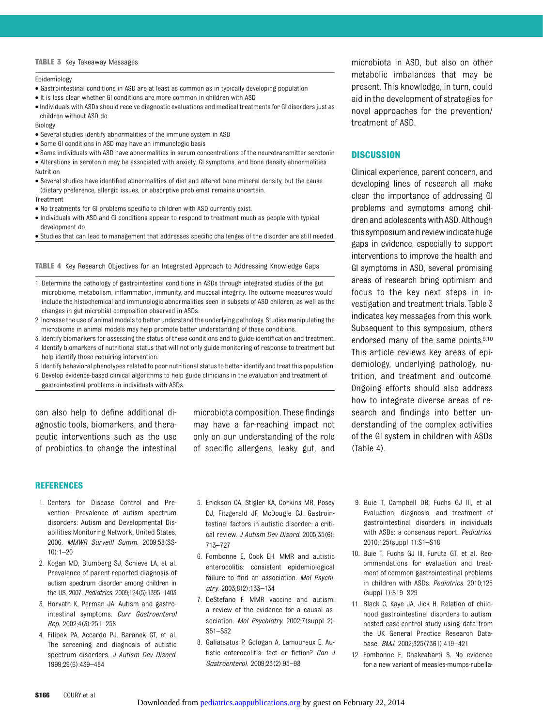#### TABLE 3 Key Takeaway Messages

#### Epidemiology

- Gastrointestinal conditions in ASD are at least as common as in typically developing population
- It is less clear whether GI conditions are more common in children with ASD
- Individuals with ASDs should receive diagnostic evaluations and medical treatments for GI disorders just as children without ASD do

Biology

- Several studies identify abnormalities of the immune system in ASD
- Some GI conditions in ASD may have an immunologic basis
- Some individuals with ASD have abnormalities in serum concentrations of the neurotransmitter serotonin
- Alterations in serotonin may be associated with anxiety, GI symptoms, and bone density abnormalities
- Nutrition • Several studies have identified abnormalities of diet and altered bone mineral density, but the cause (dietary preference, allergic issues, or absorptive problems) remains uncertain. Treatment
- No treatments for GI problems specific to children with ASD currently exist.
- Individuals with ASD and GI conditions appear to respond to treatment much as people with typical development do.
- Studies that can lead to management that addresses specific challenges of the disorder are still needed.

TABLE 4 Key Research Objectives for an Integrated Approach to Addressing Knowledge Gaps

- 1. Determine the pathology of gastrointestinal conditions in ASDs through integrated studies of the gut microbiome, metabolism, inflammation, immunity, and mucosal integrity. The outcome measures would include the histochemical and immunologic abnormalities seen in subsets of ASD children, as well as the changes in gut microbial composition observed in ASDs.
- 2. Increase the use of animal models to better understand the underlying pathology. Studies manipulating the microbiome in animal models may help promote better understanding of these conditions.
- 3. Identify biomarkers for assessing the status of these conditions and to guide identification and treatment.
- 4. Identify biomarkers of nutritional status that will not only guide monitoring of response to treatment but help identify those requiring intervention.
- 5. Identify behavioral phenotypes related to poor nutritional status to better identify and treat this population.
- 6. Develop evidence-based clinical algorithms to help guide clinicians in the evaluation and treatment of
- gastrointestinal problems in individuals with ASDs.

can also help to define additional diagnostic tools, biomarkers, and therapeutic interventions such as the use of probiotics to change the intestinal microbiota composition. These findings may have a far-reaching impact not only on our understanding of the role of specific allergens, leaky gut, and

microbiota in ASD, but also on other metabolic imbalances that may be present. This knowledge, in turn, could aid in the development of strategies for novel approaches for the prevention/ treatment of ASD.

#### **DISCUSSION**

Clinical experience, parent concern, and developing lines of research all make clear the importance of addressing GI problems and symptoms among children and adolescents with ASD. Although this symposium and review indicate huge gaps in evidence, especially to support interventions to improve the health and GI symptoms in ASD, several promising areas of research bring optimism and focus to the key next steps in investigation and treatment trials. Table 3 indicates key messages from this work. Subsequent to this symposium, others endorsed many of the same points.<sup>9,10</sup> This article reviews key areas of epidemiology, underlying pathology, nutrition, and treatment and outcome. Ongoing efforts should also address how to integrate diverse areas of research and findings into better understanding of the complex activities of the GI system in children with ASDs (Table 4).

#### REFERENCES

- 1. Centers for Disease Control and Prevention. Prevalence of autism spectrum disorders: Autism and Developmental Disabilities Monitoring Network, United States, 2006. MMWR Surveill Summ. 2009;58(SS- $10$ :1–20
- 2. Kogan MD, Blumberg SJ, Schieve LA, et al. Prevalence of parent-reported diagnosis of autism spectrum disorder among children in the US, 2007. Pediatrics. 2009;124(5):1395–1403
- 3. Horvath K, Perman JA. Autism and gastrointestinal symptoms. Curr Gastroenterol Rep. 2002;4(3):251–258
- 4. Filipek PA, Accardo PJ, Baranek GT, et al. The screening and diagnosis of autistic spectrum disorders. J Autism Dev Disord. 1999;29(6):439–484
- 5. Erickson CA, Stigler KA, Corkins MR, Posey DJ, Fitzgerald JF, McDougle CJ. Gastrointestinal factors in autistic disorder: a critical review. J Autism Dev Disord. 2005:35(6): 713–727
- 6. Fombonne E, Cook EH. MMR and autistic enterocolitis: consistent epidemiological failure to find an association. Mol Psychiatry. 2003;8(2):133–134
- 7. DeStefano F. MMR vaccine and autism: a review of the evidence for a causal association. Mol Psychiatry. 2002;7(suppl 2): S51–S52
- 8. Galiatsatos P, Gologan A, Lamoureux E. Autistic enterocolitis: fact or fiction? Can J Gastroenterol. 2009;23(2):95–98
- 9. Buie T, Campbell DB, Fuchs GJ III, et al. Evaluation, diagnosis, and treatment of gastrointestinal disorders in individuals with ASDs: a consensus report. Pediatrics. 2010;125(suppl 1):S1–S18
- 10. Buie T, Fuchs GJ III, Furuta GT, et al. Recommendations for evaluation and treatment of common gastrointestinal problems in children with ASDs. Pediatrics. 2010;125 (suppl 1):S19–S29
- 11. Black C, Kaye JA, Jick H. Relation of childhood gastrointestinal disorders to autism: nested case-control study using data from the UK General Practice Research Database. BMJ. 2002;325(7361):419–421
- 12. Fombonne E, Chakrabarti S. No evidence [for](http://pediatrics.aappublications.org/) a new variant of measles-mumps-rubella-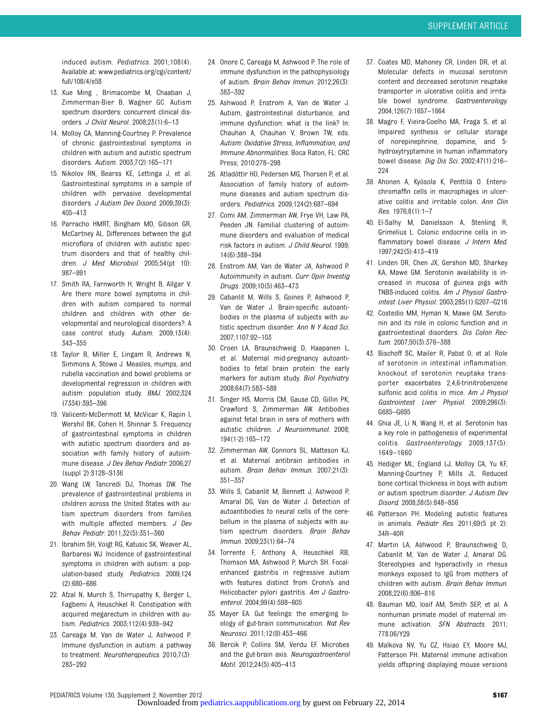induced autism. Pediatrics. 2001;108(4). Available at: www.pediatrics.org/cgi/content/ full/108/4/e58

- 13. Xue Ming , Brimacombe M, Chaaban J, Zimmerman-Bier B, Wagner GC. Autism spectrum disorders: concurrent clinical disorders. J Child Neurol. 2008;23(1):6–13
- 14. Molloy CA, Manning-Courtney P. Prevalence of chronic gastrointestinal symptoms in children with autism and autistic spectrum disorders. Autism. 2003;7(2):165–171
- 15. Nikolov RN, Bearss KE, Lettinga J, et al. Gastrointestinal symptoms in a sample of children with pervasive developmental disorders. J Autism Dev Disord. 2009;39(3): 405–413
- 16. Parracho HMRT, Bingham MO, Gibson GR, McCartney AL. Differences between the gut microflora of children with autistic spectrum disorders and that of healthy children. J Med Microbiol. 2005;54(pt 10): 987–991
- 17. Smith RA, Farnworth H, Wright B, Allgar V. Are there more bowel symptoms in children with autism compared to normal children and children with other developmental and neurological disorders?: A case control study. Autism. 2009;13(4): 343–355
- 18. Taylor B, Miller E, Lingam R, Andrews N, Simmons A, Stowe J. Measles, mumps, and rubella vaccination and bowel problems or developmental regression in children with autism: population study. BMJ. 2002;324 (7334):393–396
- 19. Valicenti-McDermott M, McVicar K, Rapin I, Wershil BK, Cohen H, Shinnar S. Frequency of gastrointestinal symptoms in children with autistic spectrum disorders and association with family history of autoimmune disease. J Dev Behav Pediatr. 2006:27 (suppl 2):S128–S136
- 20. Wang LW, Tancredi DJ, Thomas DW. The prevalence of gastrointestinal problems in children across the United States with autism spectrum disorders from families with multiple affected members. J Dev Behav Pediatr. 2011;32(5):351–360
- 21. Ibrahim SH, Voigt RG, Katusic SK, Weaver AL, Barbaresi WJ. Incidence of gastrointestinal symptoms in children with autism: a population-based study. Pediatrics. 2009;124 (2):680–686
- 22. Afzal N, Murch S, Thirrupathy K, Berger L, Fagbemi A, Heuschkel R. Constipation with acquired megarectum in children with autism. Pediatrics. 2003;112(4):939–942
- 23. Careaga M, Van de Water J, Ashwood P. Immune dysfunction in autism: a pathway to treatment. Neurotherapeutics. 2010;7(3): 283–292
- 24. Onore C, Careaga M, Ashwood P. The role of immune dysfunction in the pathophysiology of autism. Brain Behav Immun. 2012;26(3): 383–392
- 25. Ashwood P, Enstrom A, Van de Water J. Autism, gastrointestinal disturbance, and immune dysfunction: what is the link? In: Chauhan A, Chauhan V, Brown TW, eds. Autism: Oxidative Stress, Inflammation, and Immune Abnormalities. Boca Raton, FL: CRC Press; 2010:278–298
- 26. Atladóttir HO, Pedersen MG, Thorsen P, et al. Association of family history of autoimmune diseases and autism spectrum disorders. Pediatrics. 2009;124(2):687–694
- 27. Comi AM, Zimmerman AW, Frye VH, Law PA, Peeden JN. Familial clustering of autoimmune disorders and evaluation of medical risk factors in autism. J Child Neurol. 1999; 14(6):388–394
- 28. Enstrom AM, Van de Water JA, Ashwood P. Autoimmunity in autism. Curr Opin Investig Drugs. 2009;10(5):463–473
- 29. Cabanlit M, Wills S, Goines P, Ashwood P, Van de Water J. Brain-specific autoantibodies in the plasma of subjects with autistic spectrum disorder. Ann N Y Acad Sci. 2007;1107:92–103
- 30. Croen LA, Braunschweig D, Haapanen L, et al. Maternal mid-pregnancy autoantibodies to fetal brain protein: the early markers for autism study. Biol Psychiatry. 2008;64(7):583–588
- 31. Singer HS, Morris CM, Gause CD, Gillin PK, Crawford S, Zimmerman AW. Antibodies against fetal brain in sera of mothers with autistic children. J Neuroimmunol. 2008; 194(1-2):165–172
- 32. Zimmerman AW, Connors SL, Matteson KJ, et al. Maternal antibrain antibodies in autism. Brain Behav Immun. 2007;21(3): 351–357
- 33. Wills S, Cabanlit M, Bennett J, Ashwood P, Amaral DG, Van de Water J. Detection of autoantibodies to neural cells of the cerebellum in the plasma of subjects with autism spectrum disorders. Brain Behav Immun. 2009;23(1):64–74
- 34. Torrente F, Anthony A, Heuschkel RB, Thomson MA, Ashwood P, Murch SH. Focalenhanced gastritis in regressive autism with features distinct from Crohn's and Helicobacter pylori gastritis. Am J Gastroenterol. 2004;99(4):598–605
- 35. Mayer EA. Gut feelings: the emerging biology of gut-brain communication. Nat Rev Neurosci. 2011;12(8):453–466
- 36. Bercik P, Collins SM, Verdu EF. Microbes and the gut-brain axis. Neurogastroenterol Motil. 2012;24([5\):405](http://pediatrics.aappublications.org/)–413
- 37. Coates MD, Mahoney CR, Linden DR, et al. Molecular defects in mucosal serotonin content and decreased serotonin reuptake transporter in ulcerative colitis and irritable bowel syndrome. Gastroenterology. 2004;126(7):1657–1664
- 38. Magro F, Vieira-Coelho MA, Fraga S, et al. Impaired synthesis or cellular storage of norepinephrine, dopamine, and 5 hydroxytryptamine in human inflammatory bowel disease. Dig Dis Sci. 2002;47(1):216– 224
- 39. Ahonen A, Kyösola K, Penttilä O. Enterochromaffin cells in macrophages in ulcerative colitis and irritable colon. Ann Clin Res. 1976;8(1):1–7
- 40. El-Salhy M, Danielsson A, Stenling R, Grimelius L. Colonic endocrine cells in inflammatory bowel disease. J Intern Med. 1997;242(5):413–419
- 41. Linden DR, Chen JX, Gershon MD, Sharkey KA, Mawe GM. Serotonin availability is increased in mucosa of guinea pigs with TNBS-induced colitis. Am J Physiol Gastrointest Liver Physiol. 2003;285(1):G207–G216
- 42. Costedio MM, Hyman N, Mawe GM. Serotonin and its role in colonic function and in gastrointestinal disorders. Dis Colon Rectum. 2007;50(3):376–388
- 43. Bischoff SC, Mailer R, Pabst O, et al. Role of serotonin in intestinal inflammation: knockout of serotonin reuptake transporter exacerbates 2,4,6-trinitrobenzene sulfonic acid colitis in mice. Am J Physiol Gastrointest Liver Physiol. 2009;296(3): G685–G695
- 44. Ghia JE, Li N, Wang H, et al. Serotonin has a key role in pathogenesis of experimental colitis. Gastroenterology. 2009;137(5): 1649–1660
- 45. Hediger ML, England LJ, Molloy CA, Yu KF, Manning-Courtney P, Mills JL. Reduced bone cortical thickness in boys with autism or autism spectrum disorder. J Autism Dev Disord. 2008;38(5):848–856
- 46. Patterson PH. Modeling autistic features in animals. Pediatr Res. 2011;69(5 pt 2): 34R–40R
- 47. Martin LA, Ashwood P, Braunschweig D, Cabanlit M, Van de Water J, Amaral DG. Stereotypies and hyperactivity in rhesus monkeys exposed to IgG from mothers of children with autism. Brain Behav Immun. 2008;22(6):806–816
- 48. Bauman MD, Iosif AM, Smith SEP, et al. A nonhuman primate model of maternal immune activation. SFN Abstracts. 2011; 778.06/Y29
- 49. Malkova NV, Yu CZ, Hsiao EY, Moore MJ, Patterson PH. Maternal immune activation yields offspring displaying mouse versions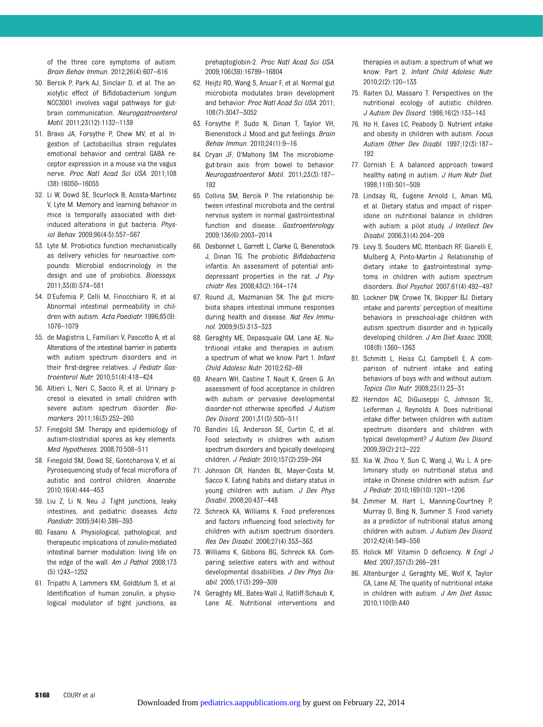of the three core symptoms of autism. Brain Behav Immun. 2012;26(4):607–616

- 50. Bercik P, Park AJ, Sinclair D, et al. The anxiolytic effect of Bifidobacterium longum NCC3001 involves vagal pathways for gutbrain communication. Neurogastroenterol Motil. 2011;23(12):1132–1139
- 51. Bravo JA, Forsythe P, Chew MV, et al. Ingestion of Lactobacillus strain regulates emotional behavior and central GABA receptor expression in a mouse via the vagus nerve. Proc Natl Acad Sci USA. 2011;108 (38):16050–16055
- 52. Li W, Dowd SE, Scurlock B, Acosta-Martinez V, Lyte M. Memory and learning behavior in mice is temporally associated with dietinduced alterations in gut bacteria. Physiol Behav. 2009;96(4-5):557–567
- 53. Lyte M. Probiotics function mechanistically as delivery vehicles for neuroactive compounds: Microbial endocrinology in the design and use of probiotics. Bioessays. 2011;33(8):574–581
- 54. D'Eufemia P, Celli M, Finocchiaro R, et al. Abnormal intestinal permeability in children with autism. Acta Paediatr. 1996;85(9): 1076–1079
- 55. de Magistris L, Familiari V, Pascotto A, et al. Alterations of the intestinal barrier in patients with autism spectrum disorders and in their first-degree relatives. J Pediatr Gastroenterol Nutr. 2010;51(4):418–424
- 56. Altieri L, Neri C, Sacco R, et al. Urinary pcresol is elevated in small children with severe autism spectrum disorder. Biomarkers. 2011;16(3):252–260
- 57. Finegold SM. Therapy and epidemiology of autism-clostridial spores as key elements. Med Hypotheses. 2008;70:508–511
- 58. Finegold SM, Dowd SE, Gontcharova V, et al. Pyrosequencing study of fecal microflora of autistic and control children. Anaerobe. 2010;16(4):444–453
- 59. Liu Z, Li N, Neu J. Tight junctions, leaky intestines, and pediatric diseases. Acta Paediatr. 2005;94(4):386–393
- 60. Fasano A. Physiological, pathological, and therapeutic implications of zonulin-mediated intestinal barrier modulation: living life on the edge of the wall. Am J Pathol. 2008;173 (5):1243–1252
- 61. Tripathi A, Lammers KM, Goldblum S, et al. Identification of human zonulin, a physiological modulator of tight junctions, as

prehaptoglobin-2. Proc Natl Acad Sci USA. 2009;106(39):16799–16804

- 62. Heijtz RD, Wang S, Anuar F, et al. Normal gut microbiota modulates brain development and behavior. Proc Natl Acad Sci USA. 2011; 108(7):3047–3052
- 63. Forsythe P, Sudo N, Dinan T, Taylor VH, Bienenstock J. Mood and gut feelings. Brain Behav Immun. 2010;24(1):9–16
- 64. Cryan JF, O'Mahony SM. The microbiomegut-brain axis: from bowel to behavior. Neurogastroenterol Motil. 2011;23(3):187– 192
- 65. Collins SM, Bercik P. The relationship between intestinal microbiota and the central nervous system in normal gastrointestinal function and disease. Gastroenterology. 2009;136(6):2003–2014
- 66. Desbonnet L, Garrett L, Clarke G, Bienenstock J, Dinan TG. The probiotic Bifidobacteria infantis: An assessment of potential antidepressant properties in the rat.  $J$  Psychiatr Res. 2008;43(2):164–174
- 67. Round JL, Mazmanian SK. The gut microbiota shapes intestinal immune responses during health and disease. Nat Rev Immunol. 2009;9(5):313–323
- 68. Geraghty ME, Depasquale GM, Lane AE. Nutritional intake and therapies in autism: a spectrum of what we know: Part 1. Infant Child Adolesc Nutr. 2010;2:62–69
- 69. Ahearn WH, Castine T, Nault K, Green G. An assessment of food acceptance in children with autism or pervasive developmental disorder-not otherwise specified. J Autism Dev Disord. 2001;31(5):505–511
- 70. Bandini LG, Anderson SE, Curtin C, et al. Food selectivity in children with autism spectrum disorders and typically developing children. J Pediatr. 2010;157(2):259–264
- 71. Johnson CR, Handen BL, Mayer-Costa M, Sacco K. Eating habits and dietary status in young children with autism. J Dev Phys Disabil. 2008;20:437–448
- 72. Schreck KA, Williams K. Food preferences and factors influencing food selectivity for children with autism spectrum disorders. Res Dev Disabil. 2006;27(4):353–363
- 73. Williams K, Gibbons BG, Schreck KA. Comparing selective eaters with and without developmental disabilities. J Dev Phys Disabil. 2005;17(3):299–309
- 74. Geraghty ME, Bates-Wall J, Ratliff-Schaub K, Lane AE. Nutritional interventions and

therapies in autism: a spectrum of what we know: Part 2. Infant Child Adolesc Nutr. 2010;2(2):120–133

- 75. Raiten DJ, Massaro T. Perspectives on the nutritional ecology of autistic children. J Autism Dev Disord. 1986;16(2):133–143
- 76. Ho H, Eaves LC, Peabody D. Nutrient intake and obesity in children with autism. Focus Autism Other Dev Disabl. 1997;12(3):187– 192
- 77. Cornish E. A balanced approach toward healthy eating in autism. J Hum Nutr Diet. 1998;11(6):501–509
- 78. Lindsay RL, Eugene Arnold L, Aman MG, et al. Dietary status and impact of risperidone on nutritional balance in children with autism: a pilot study. J Intellect Dev Disabil. 2006;31(4):204–209
- 79. Levy S, Souders MC, Ittenbach RF, Giarelli E, Mulberg A, Pinto-Martin J. Relationship of dietary intake to gastrointestinal symptoms in children with autism spectrum disorders. Biol Psychol. 2007;61(4):492–497
- 80. Lockner DW, Crowe TK, Skipper BJ. Dietary intake and parents' perception of mealtime behaviors in preschool-age children with autism spectrum disorder and in typically developing children. J Am Diet Assoc. 2008; 108(8):1360–1363
- 81. Schmitt L, Heiss CJ, Campbell E. A comparison of nutrient intake and eating behaviors of boys with and without autism. Topics Clin Nutr. 2008;23(1):23–31
- 82. Herndon AC, DiGuiseppi C, Johnson SL, Leiferman J, Reynolds A. Does nutritional intake differ between children with autism spectrum disorders and children with typical development? J Autism Dev Disord. 2009;39(2):212–222
- 83. Xia W, Zhou Y, Sun C, Wang J, Wu L. A preliminary study on nutritional status and intake in Chinese children with autism. Eur J Pediatr. 2010;169(10):1201–1206
- 84. Zimmer M, Hart L, Manning-Courtney P, Murray D, Bing N, Summer S. Food variety as a predictor of nutritional status among children with autism. J Autism Dev Disord. 2012;42(4):549–556
- 85. Holick MF. Vitamin D deficiency. N Engl J Med. 2007;357(3):266–281
- 86. Altenburger J, Geraghty ME, Wolf K, Taylor CA, Lane AE. The quality of nutritional intake in children with autism. J Am Diet Assoc. 2010;110(9):A40